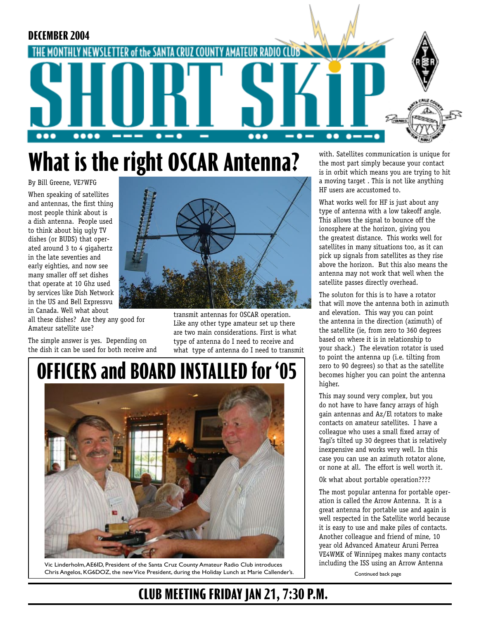

# **What is the right OSCAR Antenna?**

By Bill Greene, VE7WFG When speaking of satellites and antennas, the first thing most people think about is a dish antenna. People used to think about big ugly TV dishes (or BUDS) that operated around 3 to 4 gigahertz in the late seventies and early eighties, and now see many smaller off set dishes that operate at 10 Ghz used by services like Dish Network in the US and Bell Expressvu in Canada. Well what about

all these dishes? Are they any good for Amateur satellite use?

The simple answer is yes. Depending on the dish it can be used for both receive and



transmit antennas for OSCAR operation. Like any other type amateur set up there are two main considerations. First is what type of antenna do I need to receive and what type of antenna do I need to transmit

# **OFFICERS and BOARD INSTALLED for '05**



Vic Linderholm, AE6ID, President of the Santa Cruz County Amateur Radio Club introduces Chris Angelos, KG6DOZ, the new Vice President, during the Holiday Lunch at Marie Callender's.

with. Satellites communication is unique for the most part simply because your contact is in orbit which means you are trying to hit a moving target . This is not like anything HF users are accustomed to.

What works well for HF is just about any type of antenna with a low takeoff angle. This allows the signal to bounce off the ionosphere at the horizon, giving you the greatest distance. This works well for satellites in many situations too, as it can pick up signals from satellites as they rise above the horizon. But this also means the antenna may not work that well when the satellite passes directly overhead.

The soluton for this is to have a rotator that will move the antenna both in azimuth and elevation. This way you can point the antenna in the direction (azimuth) of the satellite (ie, from zero to 360 degrees based on where it is in relationship to your shack.) The elevation rotator is used to point the antenna up (i.e. tilting from zero to 90 degrees) so that as the satellite becomes higher you can point the antenna higher.

This may sound very complex, but you do not have to have fancy arrays of high gain antennas and Az/El rotators to make contacts on amateur satellites. I have a colleague who uses a small fixed array of Yagi's tilted up 30 degrees that is relatively inexpensive and works very well. In this case you can use an azimuth rotator alone, or none at all. The effort is well worth it.

Ok what about portable operation????

The most popular antenna for portable operation is called the Arrow Antenna. It is a great antenna for portable use and again is well respected in the Satellite world because it is easy to use and make piles of contacts. Another colleague and friend of mine, 10 year old Advanced Amateur Aruni Perrea VE4WMK of Winnipeg makes many contacts including the ISS using an Arrow Antenna

Continued back page

## **CLUB MEETING FRIDAY JAN 21, 7:30 P.M.**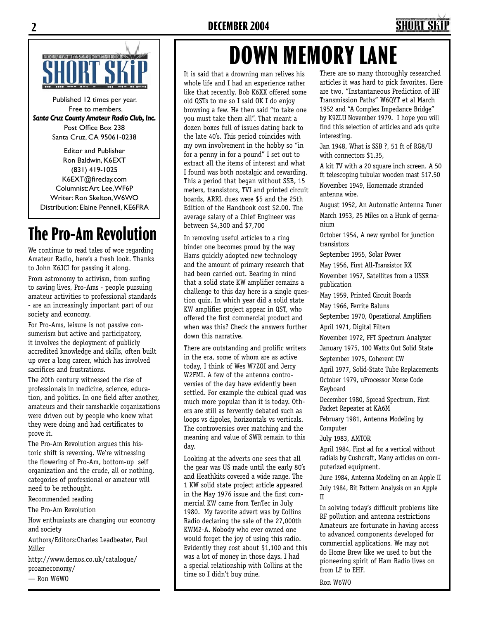

Published 12 times per year. Free to members. *Santa Cruz County Amateur Radio Club, Inc.* Post Office Box 238 Santa Cruz, CA 95061-0238

Editor and Publisher Ron Baldwin, K6EXT (831) 419-1025 K6EXT@fireclay.com Columnist: Art Lee, WF6P Writer: Ron Skelton, W6WO Distribution: Elaine Pennell, KE6FRA

# **The Pro-Am Revolution**

We continue to read tales of woe regarding Amateur Radio, here's a fresh look. Thanks to John K6JCI for passing it along.

From astronomy to activism, from surfing to saving lives, Pro-Ams - people pursuing amateur activities to professional standards - are an increasingly important part of our society and economy.

For Pro-Ams, leisure is not passive consumerism but active and participatory, it involves the deployment of publicly accredited knowledge and skills, often built up over a long career, which has involved sacrifices and frustrations.

The 20th century witnessed the rise of professionals in medicine, science, education, and politics. In one field after another, amateurs and their ramshackle organizations were driven out by people who knew what they were doing and had certificates to prove it.

The Pro-Am Revolution argues this historic shift is reversing. We're witnessing the flowering of Pro-Am, bottom-up self organization and the crude, all or nothing, categories of professional or amateur will need to be rethought.

Recommended reading

The Pro-Am Revolution

How enthusiasts are changing our economy and society

Authors/Editors:Charles Leadbeater, Paul Miller

http://www.demos.co.uk/catalogue/ proameconomy/

— Ron W6WO

# **DOWN MEMORY LANE**

It is said that a drowning man relives his whole life and I had an experience rather like that recently. Bob K6XX offered some old QSTs to me so I said OK I do enjoy browsing a few. He then said "to take one you must take them all". That meant a dozen boxes full of issues dating back to the late 40's. This period coincides with my own involvement in the hobby so "in for a penny in for a pound" I set out to extract all the items of interest and what I found was both nostalgic and rewarding. This a period that began without SSB, 15 meters, transistors, TVI and printed circuit boards, ARRL dues were \$5 and the 25th Edition of the Handbook cost \$2.00. The average salary of a Chief Engineer was between \$4,300 and \$7,700

In removing useful articles to a ring binder one becomes proud by the way Hams quickly adopted new technology and the amount of primary research that had been carried out. Bearing in mind that a solid state KW amplifier remains a challenge to this day here is a single question quiz. In which year did a solid state KW amplifier project appear in QST, who offered the first commercial product and when was this? Check the answers further down this narrative.

There are outstanding and prolific writers in the era, some of whom are as active today, I think of Wes W7ZOI and Jerry W2FMI. A few of the antenna controversies of the day have evidently been settled. For example the cubical quad was much more popular than it is today. Others are still as fervently debated such as loops vs dipoles, horizontals vs verticals. The controversies over matching and the meaning and value of SWR remain to this day.

Looking at the adverts one sees that all the gear was US made until the early 80's and Heathkits covered a wide range. The 1 KW solid state project article appeared in the May 1976 issue and the first commercial KW came from TenTec in July 1980. My favorite advert was by Collins Radio declaring the sale of the 27,000th KWM2-A. Nobody who ever owned one would forget the joy of using this radio. Evidently they cost about \$1,100 and this was a lot of money in those days. I had a special relationship with Collins at the time so I didn't buy mine.

There are so many thoroughly researched articles it was hard to pick favorites. Here are two, "Instantaneous Prediction of HF Transmission Paths" W6QYT et al March 1952 and "A Complex Impedance Bridge" by K9ZLU November 1979. I hope you will find this selection of articles and ads quite interesting.

Jan 1948, What is SSB ?, 51 ft of RG8/U with connectors \$1.35,

A kit TV with a 20 square inch screen. A 50 ft telescoping tubular wooden mast \$17.50

November 1949, Homemade stranded antenna wire.

August 1952, An Automatic Antenna Tuner March 1953, 25 Miles on a Hunk of germanium

October 1954, A new symbol for junction transistors

September 1955, Solar Power

May 1956, First All-Transistor RX

November 1957, Satellites from a USSR publication

May 1959, Printed Circuit Boards

May 1966, Ferrite Baluns

September 1970, Operational Amplifiers

April 1971, Digital Filters

November 1972, FFT Spectrum Analyzer

January 1975, 100 Watts Out Solid State

September 1975, Coherent CW

April 1977, Solid-State Tube Replacements

October 1979, uProcessor Morse Code Keyboard

December 1980, Spread Spectrum, First Packet Repeater at KA6M

February 1981, Antenna Modeling by Computer

July 1983, AMTOR

April 1984, First ad for a vertical without radials by Cushcraft, Many articles on computerized equipment.

June 1984, Antenna Modeling on an Apple II July 1984, Bit Pattern Analysis on an Apple II

In solving today's difficult problems like RF pollution and antenna restrictions Amateurs are fortunate in having access to advanced components developed for commercial applications. We may not do Home Brew like we used to but the pioneering spirit of Ham Radio lives on from LF to EHF.

Ron W6WO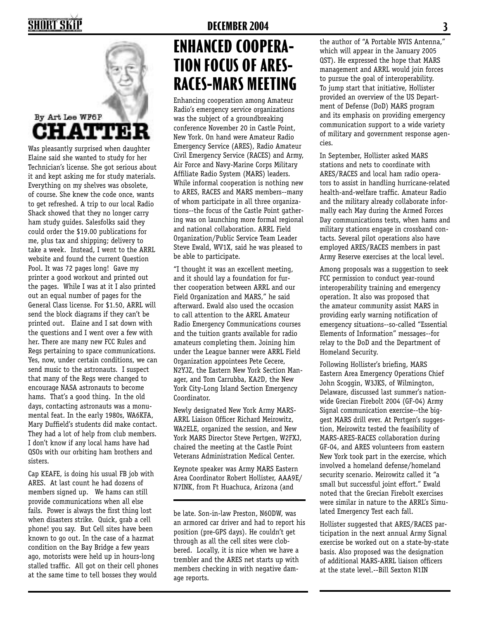sisters.

Cap KEAFE, is doing his usual FB job with ARES. At last count he had dozens of members signed up. We hams can still provide communications when all else fails. Power is always the first thing lost when disasters strike. Quick, grab a cell phone! you say. But Cell sites have been known to go out. In the case of a hazmat condition on the Bay Bridge a few years ago, motorists were held up in hours-long stalled traffic. All got on their cell phones at the same time to tell bosses they would

Was pleasantly surprised when daughter Elaine said she wanted to study for her Technician's license. She got serious about it and kept asking me for study materials. Everything on my shelves was obsolete, of course. She knew the code once, wants to get refreshed. A trip to our local Radio Shack showed that they no longer carry ham study guides. Salesfolks said they could order the \$19.00 publications for me, plus tax and shipping; delivery to take a week. Instead, I went to the ARRL website and found the current Question Pool. It was 72 pages long! Gave my printer a good workout and printed out the pages. While I was at it I also printed out an equal number of pages for the General Class license. For \$1.50, ARRL will send the block diagrams if they can't be printed out. Elaine and I sat down with the questions and I went over a few with her. There are many new FCC Rules and Regs pertaining to space communications. Yes, now, under certain conditions, we can send music to the astronauts. I suspect that many of the Regs were changed to encourage NASA astronauts to become hams. That's a good thing. In the old days, contacting astronauts was a monumental feat. In the early 1980s, WA6KFA, Mary Duffield's students did make contact. They had a lot of help from club members. I don't know if any local hams have had QSOs with our orbiting ham brothers and

**CHATTER** 

By Art Lee WF6P

## **2 DECEMBER 2004 3**

# **ENHANCED COOPERA-TION FOCUS OF ARES-RACES-MARS MEETING**

Enhancing cooperation among Amateur Radio's emergency service organizations was the subject of a groundbreaking conference November 20 in Castle Point, New York. On hand were Amateur Radio Emergency Service (ARES), Radio Amateur Civil Emergency Service (RACES) and Army, Air Force and Navy-Marine Corps Military Affiliate Radio System (MARS) leaders. While informal cooperation is nothing new to ARES, RACES and MARS members--many of whom participate in all three organizations--the focus of the Castle Point gathering was on launching more formal regional and national collaboration. ARRL Field Organization/Public Service Team Leader Steve Ewald, WV1X, said he was pleased to be able to participate.

"I thought it was an excellent meeting, and it should lay a foundation for further cooperation between ARRL and our Field Organization and MARS," he said afterward. Ewald also used the occasion to call attention to the ARRL Amateur Radio Emergency Communications courses and the tuition grants available for radio amateurs completing them. Joining him under the League banner were ARRL Field Organization appointees Pete Cecere, N2YJZ, the Eastern New York Section Manager, and Tom Carrubba, KA2D, the New York City-Long Island Section Emergency Coordinator.

Newly designated New York Army MARS-ARRL Liaison Officer Richard Meirowitz, WA2ELE, organized the session, and New York MARS Director Steve Pertgen, W2FXJ, chaired the meeting at the Castle Point Veterans Administration Medical Center.

Keynote speaker was Army MARS Eastern Area Coordinator Robert Hollister, AAA9E/ N7INK, from Ft Huachuca, Arizona (and

be late. Son-in-law Preston, N6ODW, was an armored car driver and had to report his position (pre-GPS days). He couldn't get through as all the cell sites were clobbered. Locally, it is nice when we have a trembler and the ARES net starts up with members checking in with negative damage reports.

the author of "A Portable NVIS Antenna." which will appear in the January 2005 QST). He expressed the hope that MARS management and ARRL would join forces to pursue the goal of interoperability. To jump start that initiative, Hollister provided an overview of the US Department of Defense (DoD) MARS program and its emphasis on providing emergency communication support to a wide variety of military and government response agencies.

In September, Hollister asked MARS stations and nets to coordinate with ARES/RACES and local ham radio operators to assist in handling hurricane-related health-and-welfare traffic. Amateur Radio and the military already collaborate informally each May during the Armed Forces Day communications tests, when hams and military stations engage in crossband contacts. Several pilot operations also have employed ARES/RACES members in past Army Reserve exercises at the local level.

Among proposals was a suggestion to seek FCC permission to conduct year-round interoperability training and emergency operation. It also was proposed that the amateur community assist MARS in providing early warning notification of emergency situations--so-called "Essential Elements of Information" messages--for relay to the DoD and the Department of Homeland Security.

Following Hollister's briefing, MARS Eastern Area Emergency Operations Chief John Scoggin, W3JKS, of Wilmington, Delaware, discussed last summer's nationwide Grecian Firebolt 2004 (GF-04) Army Signal communication exercise--the biggest MARS drill ever. At Pertgen's suggestion, Meirowitz tested the feasibility of MARS-ARES-RACES collaboration during GF-04, and ARES volunteers from eastern New York took part in the exercise, which involved a homeland defense/homeland security scenario. Meirowitz called it "a small but successful joint effort." Ewald noted that the Grecian Firebolt exercises were similar in nature to the ARRL's Simulated Emergency Test each fall.

Hollister suggested that ARES/RACES participation in the next annual Army Signal exercise be worked out on a state-by-state basis. Also proposed was the designation of additional MARS-ARRL liaison officers at the state level.--Bill Sexton N1IN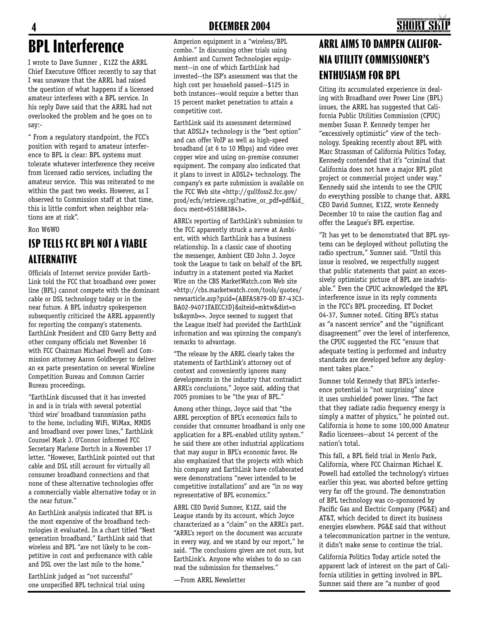## **BPL Interference 4 DECEMBER 2004 5**

I wrote to Dave Sumner , K1ZZ the ARRL Chief Executuve Officer recently to say that I was unaware that the ARRL had raised the question of what happens if a licensed amateur interferes with a BPL service. In his reply Dave said that the ARRL had not overlooked the problem and he goes on to say:-

" From a regulatory standpoint, the FCC's position with regard to amateur interference to BPL is clear: BPL systems must tolerate whatever interference they receive from licensed radio services, including the amateur service. This was reiterated to me within the past two weeks. However, as I observed to Commission staff at that time, this is little comfort when neighbor relations are at risk".

Ron W6WO

### **ISP TELLS FCC BPL NOT A VIABLE ALTERNATIVE**

Officials of Internet service provider Earth-Link told the FCC that broadband over power line (BPL) cannot compete with the dominant cable or DSL technology today or in the near future. A BPL industry spokesperson subsequently criticized the ARRL apparently for reporting the company's statements. EarthLink President and CEO Garry Betty and other company officials met November 16 with FCC Chairman Michael Powell and Commission attorney Aaron Goldberger to deliver an ex parte presentation on several Wireline Competition Bureau and Common Carrier Bureau proceedings.

"EarthLink discussed that it has invested in and is in trials with several potential 'third wire' broadband transmission paths to the home, including WiFi, WiMax, MMDS and broadband over power lines," EarthLink Counsel Mark J. O'Connor informed FCC Secretary Marlene Dortch in a November 17 letter. "However, EarthLink pointed out that cable and DSL still account for virtually all consumer broadband connections and that none of these alternative technologies offer a commercially viable alternative today or in the near future."

An EarthLink analysis indicated that BPL is the most expensive of the broadband technologies it evaluated. In a chart titled "Next generation broadband," EarthLink said that wireless and BPL "are not likely to be competitive in cost and performance with cable and DSL over the last mile to the home."

EarthLink judged as "not successful" one unspecified BPL technical trial using

Amperion equipment in a "wireless/BPL combo." In discussing other trials using Ambient and Current Technologies equipment--in one of which EarthLink had invested--the ISP's assessment was that the high cost per household passed--\$125 in both instances--would require a better than 15 percent market penetration to attain a competitive cost.

EarthLink said its assessment determined that ADSL2+ technology is the "best option" and can offer VoIP as well as high-speed broadband (at 6 to 10 Mbps) and video over copper wire and using on-premise consumer equipment. The company also indicated that it plans to invest in ADSL2+ technology. The company's ex parte submission is available on the FCC Web site <http://gullfoss2.fcc.gov/ prod/ecfs/retrieve.cgi?native\_or\_pdf=pdf&id\_ docu ment=6516883843>.

ARRL's reporting of EarthLink's submission to the FCC apparently struck a nerve at Ambient, with which EarthLink has a business relationship. In a classic case of shooting the messenger, Ambient CEO John J. Joyce took the League to task on behalf of the BPL industry in a statement posted via Market Wire on the CBS MarketWatch.com Web site <http://cbs.marketwatch.com/tools/quotes/ newsarticle.asp?guid={ABFA5879-0D B7-43C3- BA02-94071FAECC3D}&siteid=mktw&dist=n bs&symb=>. Joyce seemed to suggest that the League itself had provided the EarthLink information and was spinning the company's remarks to advantage.

"The release by the ARRL clearly takes the statements of EarthLink's attorney out of context and conveniently ignores many developments in the industry that contradict ARRL's conclusions," Joyce said, adding that 2005 promises to be "the year of BPL."

Among other things, Joyce said that "the ARRL perception of BPL's economics fails to consider that consumer broadband is only one application for a BPL-enabled utility system." he said there are other industrial applications that may augur in BPL's economic favor. He also emphasized that the projects with which his company and EarthLink have collaborated were demonstrations "never intended to be competitive installations" and are "in no way representative of BPL economics."

ARRL CEO David Sumner, K1ZZ, said the League stands by its account, which Joyce characterized as a "claim" on the ARRL's part. "ARRL's report on the document was accurate in every way, and we stand by our report," he said. "The conclusions given are not ours, but EarthLink's. Anyone who wishes to do so can read the submission for themselves."

—From ARRL Newsletter

## **ARRL AIMS TO DAMPEN CALIFOR-NIA UTILITY COMMISSIONER'S ENTHUSIASM FOR BPL**

Citing its accumulated experience in dealing with Broadband over Power Line (BPL) issues, the ARRL has suggested that California Public Utilities Commission (CPUC) member Susan P. Kennedy temper her "excessively optimistic" view of the technology. Speaking recently about BPL with Marc Strassman of California Politics Today, Kennedy contended that it's "criminal that California does not have a major BPL pilot project or commercial project under way." Kennedy said she intends to see the CPUC do everything possible to change that. ARRL CEO David Sumner, K1ZZ, wrote Kennedy December 10 to raise the caution flag and offer the League's BPL expertise.

"It has yet to be demonstrated that BPL systems can be deployed without polluting the radio spectrum," Sumner said. "Until this issue is resolved, we respectfully suggest that public statements that paint an excessively optimistic picture of BPL are inadvisable." Even the CPUC acknowledged the BPL interference issue in its reply comments in the FCC's BPL proceeding, ET Docket 04-37, Sumner noted. Citing BPL's status as "a nascent service" and the "significant disagreement" over the level of interference, the CPUC suggested the FCC "ensure that adequate testing is performed and industry standards are developed before any deployment takes place."

Sumner told Kennedy that BPL's interference potential is "not surprising" since it uses unshielded power lines. "The fact that they radiate radio frequency energy is simply a matter of physics," he pointed out. California is home to some 100,000 Amateur Radio licensees--about 14 percent of the nation's total.

This fall, a BPL field trial in Menlo Park, California, where FCC Chairman Michael K. Powell had extolled the technology's virtues earlier this year, was aborted before getting very far off the ground. The demonstration of BPL technology was co-sponsored by Pacific Gas and Electric Company (PG&E) and AT&T, which decided to direct its business energies elsewhere. PG&E said that without a telecommunication partner in the venture, it didn't make sense to continue the trial.

California Politics Today article noted the apparent lack of interest on the part of California utilities in getting involved in BPL. Sumner said there are "a number of good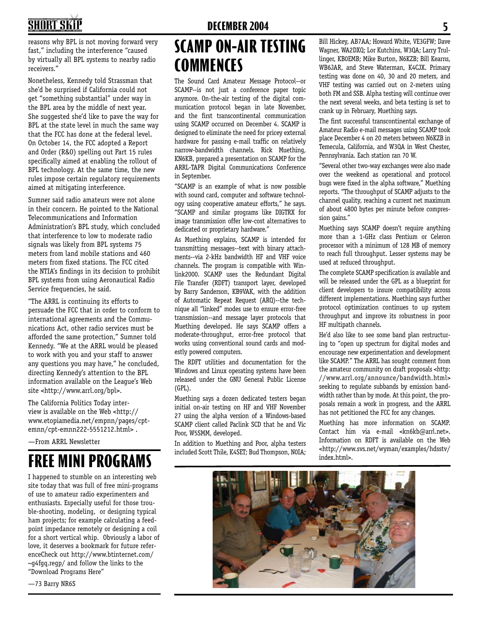# **4 DECEMBER 2004 5**

reasons why BPL is not moving forward very fast," including the interference "caused by virtually all BPL systems to nearby radio receivers."

Nonetheless, Kennedy told Strassman that she'd be surprised if California could not get "something substantial" under way in the BPL area by the middle of next year. She suggested she'd like to pave the way for BPL at the state level in much the same way that the FCC has done at the federal level. On October 14, the FCC adopted a Report and Order (R&O) spelling out Part 15 rules specifically aimed at enabling the rollout of BPL technology. At the same time, the new rules impose certain regulatory requirements aimed at mitigating interference.

Sumner said radio amateurs were not alone in their concern. He pointed to the National Telecommunications and Information Administration's BPL study, which concluded that interference to low to moderate radio signals was likely from BPL systems 75 meters from land mobile stations and 460 meters from fixed stations. The FCC cited the NTIA's findings in its decision to prohibit BPL systems from using Aeronautical Radio Service frequencies, he said.

"The ARRL is continuing its efforts to persuade the FCC that in order to conform to international agreements and the Communications Act, other radio services must be afforded the same protection," Sumner told Kennedy. "We at the ARRL would be pleased to work with you and your staff to answer any questions you may have," he concluded, directing Kennedy's attention to the BPL information available on the League's Web site <http://www.arrl.org/bpl>.

The California Politics Today interview is available on the Web <http:// www.etopiamedia.net/empnn/pages/cptemnn/cpt-emnn222-5551212.html> .

—From ARRL Newsletter

# index.html>. **FREE MINI PROGRAMS**

I happened to stumble on an interesting web site today that was full of free mini-programs of use to amateur radio experimenters and enthusiasts. Especially useful for those trouble-shooting, modeling, or designing typical ham projects; for example calculating a feedpoint impedance remotely or designing a coil for a short vertical whip. Obviously a labor of love, it deserves a bookmark for future referenceCheck out http://www.btinternet.com/ ~g4fgq.regp/ and follow the links to the "Download Programs Here"

# **SCAMP ON-AIR TESTING COMMENCES**

The Sound Card Amateur Message Protocol--or SCAMP--is not just a conference paper topic anymore. On-the-air testing of the digital communication protocol began in late November, and the first transcontinental communication using SCAMP occurred on December 4. SCAMP is designed to eliminate the need for pricey external hardware for passing e-mail traffic on relatively narrow-bandwidth channels. Rick Muething, KN6KB, prepared a presentation on SCAMP for the ARRL-TAPR Digital Communications Conference in September.

"SCAMP is an example of what is now possible with sound card, computer and software technology using cooperative amateur efforts," he says. "SCAMP and similar programs like DIGTRX for image transmission offer low-cost alternatives to dedicated or proprietary hardware."

As Muething explains, SCAMP is intended for transmitting messages--text with binary attachments--via 2-kHz bandwidth HF and VHF voice channels. The program is compatible with Winlink2000. SCAMP uses the Redundant Digital File Transfer (RDFT) transport layer, developed by Barry Sanderson, KB9VAK, with the addition of Automatic Repeat Request (ARQ)--the technique all "linked" modes use to ensure error-free transmission--and message layer protocols that Muething developed. He says SCAMP offers a moderate-throughput, error-free protocol that works using conventional sound cards and modestly powered computers.

The RDFT utilities and documentation for the Windows and Linux operating systems have been released under the GNU General Public License (GPL).

Muething says a dozen dedicated testers began initial on-air testing on HF and VHF November 27 using the alpha version of a Windows-based SCAMP client called Paclink SCD that he and Vic Poor, W5SMM, developed.

In addition to Muething and Poor, alpha testers included Scott Thile, K4SET; Bud Thompson, N0IA;

Bill Hickey, AB7AA; Howard White, VE3GFW; Dave Wagner, WA2DXQ; Lor Kutchins, W3QA; Larry Trullinger, KB0EMB; Mike Burton, N6KZB; Bill Kearns, WB6JAR, and Steve Waterman, K4CJX. Primary testing was done on 40, 30 and 20 meters, and VHF testing was carried out on 2-meters using both FM and SSB. Alpha testing will continue over the next several weeks, and beta testing is set to crank up in February, Muething says.

The first successful transcontinental exchange of Amateur Radio e-mail messages using SCAMP took place December 4 on 20 meters between N6KZB in Temecula, California, and W3QA in West Chester, Pennsylvania. Each station ran 70 W.

"Several other two-way exchanges were also made over the weekend as operational and protocol bugs were fixed in the alpha software," Muething reports. "The throughput of SCAMP adjusts to the channel quality, reaching a current net maximum of about 4800 bytes per minute before compression gains."

Muething says SCAMP doesn't require anything more than a 1-GHz class Pentium or Celeron processor with a minimum of 128 MB of memory to reach full throughput. Lesser systems may be used at reduced throughput.

The complete SCAMP specification is available and will be released under the GPL as a blueprint for client developers to insure compatibility across different implementations. Muething says further protocol optimization continues to up system throughput and improve its robustness in poor HF multipath channels.

He'd also like to see some band plan restructuring to "open up spectrum for digital modes and encourage new experimentation and development like SCAMP." The ARRL has sought comment from the amateur community on draft proposals <http: //www.arrl.org/announce/bandwidth.html> seeking to regulate subbands by emission bandwidth rather than by mode. At this point, the proposals remain a work in progress, and the ARRL has not petitioned the FCC for any changes.

Muething has more information on SCAMP. Contact him via e-mail <kn6kb@arrl.net>. Information on RDFT is available on the Web <http://www.svs.net/wyman/examples/hdsstv/



—73 Barry NR6S